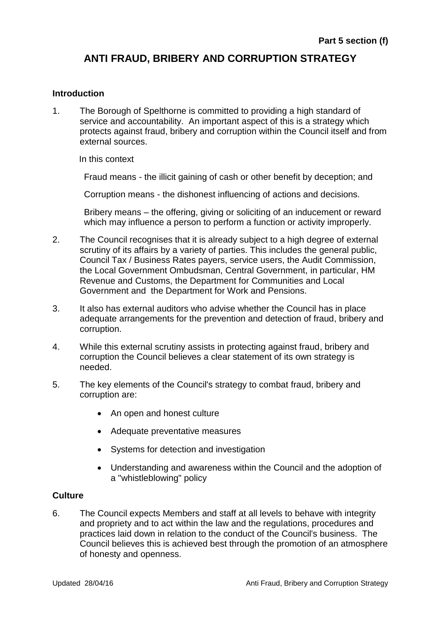# **ANTI FRAUD, BRIBERY AND CORRUPTION STRATEGY**

## **Introduction**

1. The Borough of Spelthorne is committed to providing a high standard of service and accountability. An important aspect of this is a strategy which protects against fraud, bribery and corruption within the Council itself and from external sources.

In this context

Fraud means - the illicit gaining of cash or other benefit by deception; and

Corruption means - the dishonest influencing of actions and decisions.

Bribery means – the offering, giving or soliciting of an inducement or reward which may influence a person to perform a function or activity improperly.

- 2. The Council recognises that it is already subject to a high degree of external scrutiny of its affairs by a variety of parties. This includes the general public, Council Tax / Business Rates payers, service users, the Audit Commission, the Local Government Ombudsman, Central Government, in particular, HM Revenue and Customs, the Department for Communities and Local Government and the Department for Work and Pensions.
- 3. It also has external auditors who advise whether the Council has in place adequate arrangements for the prevention and detection of fraud, bribery and corruption.
- 4. While this external scrutiny assists in protecting against fraud, bribery and corruption the Council believes a clear statement of its own strategy is needed.
- 5. The key elements of the Council's strategy to combat fraud, bribery and corruption are:
	- An open and honest culture
	- Adequate preventative measures
	- Systems for detection and investigation
	- Understanding and awareness within the Council and the adoption of a "whistleblowing" policy

## **Culture**

6. The Council expects Members and staff at all levels to behave with integrity and propriety and to act within the law and the regulations, procedures and practices laid down in relation to the conduct of the Council's business. The Council believes this is achieved best through the promotion of an atmosphere of honesty and openness.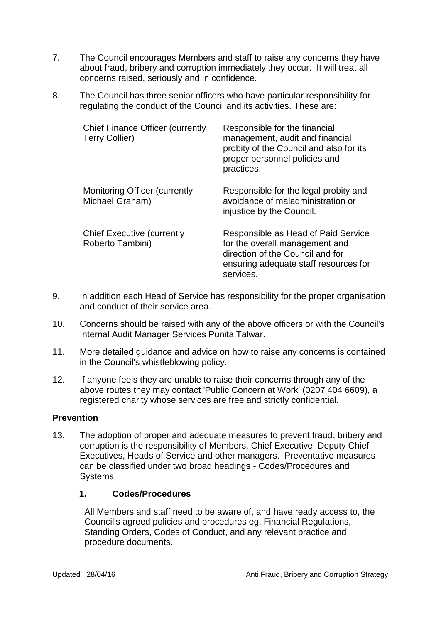- 7. The Council encourages Members and staff to raise any concerns they have about fraud, bribery and corruption immediately they occur. It will treat all concerns raised, seriously and in confidence.
- 8. The Council has three senior officers who have particular responsibility for regulating the conduct of the Council and its activities. These are:

| <b>Chief Finance Officer (currently</b><br><b>Terry Collier)</b> | Responsible for the financial<br>management, audit and financial<br>probity of the Council and also for its<br>proper personnel policies and<br>practices.      |
|------------------------------------------------------------------|-----------------------------------------------------------------------------------------------------------------------------------------------------------------|
| <b>Monitoring Officer (currently</b><br>Michael Graham)          | Responsible for the legal probity and<br>avoidance of maladministration or<br>injustice by the Council.                                                         |
| <b>Chief Executive (currently</b><br>Roberto Tambini)            | Responsible as Head of Paid Service<br>for the overall management and<br>direction of the Council and for<br>ensuring adequate staff resources for<br>services. |

- 9. In addition each Head of Service has responsibility for the proper organisation and conduct of their service area.
- 10. Concerns should be raised with any of the above officers or with the Council's Internal Audit Manager Services Punita Talwar.
- 11. More detailed guidance and advice on how to raise any concerns is contained in the Council's whistleblowing policy.
- 12. If anyone feels they are unable to raise their concerns through any of the above routes they may contact 'Public Concern at Work' (0207 404 6609), a registered charity whose services are free and strictly confidential.

#### **Prevention**

13. The adoption of proper and adequate measures to prevent fraud, bribery and corruption is the responsibility of Members, Chief Executive, Deputy Chief Executives, Heads of Service and other managers. Preventative measures can be classified under two broad headings - Codes/Procedures and Systems.

## **1. Codes/Procedures**

All Members and staff need to be aware of, and have ready access to, the Council's agreed policies and procedures eg. Financial Regulations, Standing Orders, Codes of Conduct, and any relevant practice and procedure documents.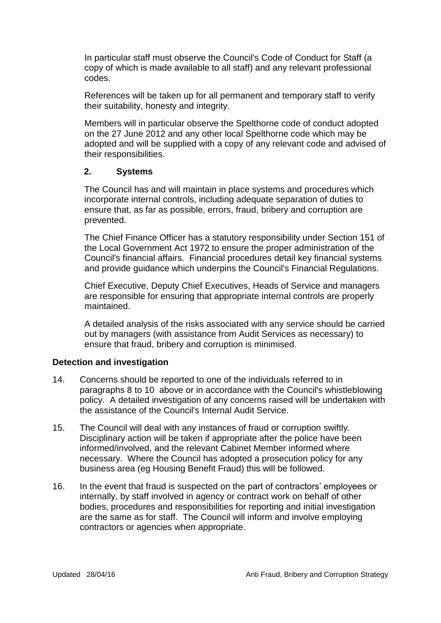In particular staff must observe the Council's Code of Conduct for Staff (a copy of which is made available to all staff) and any relevant professional codes.

References will be taken up for all permanent and temporary staff to verify their suitability, honesty and integrity.

Members will in particular observe the Spelthorne code of conduct adopted on the 27 June 2012 and any other local Spelthorne code which may be adopted and will be supplied with a copy of any relevant code and advised of their responsibilities.

#### **2. Systems**

The Council has and will maintain in place systems and procedures which incorporate internal controls, including adequate separation of duties to ensure that, as far as possible, errors, fraud, bribery and corruption are prevented.

The Chief Finance Officer has a statutory responsibility under Section 151 of the Local Government Act 1972 to ensure the proper administration of the Council's financial affairs. Financial procedures detail key financial systems and provide guidance which underpins the Council's Financial Regulations.

Chief Executive, Deputy Chief Executives, Heads of Service and managers are responsible for ensuring that appropriate internal controls are properly maintained.

A detailed analysis of the risks associated with any service should be carried out by managers (with assistance from Audit Services as necessary) to ensure that fraud, bribery and corruption is minimised.

#### **Detection and investigation**

- 14. Concerns should be reported to one of the individuals referred to in paragraphs 8 to 10 above or in accordance with the Council's whistleblowing policy. A detailed investigation of any concerns raised will be undertaken with the assistance of the Council's Internal Audit Service.
- 15. The Council will deal with any instances of fraud or corruption swiftly. Disciplinary action will be taken if appropriate after the police have been informed/involved, and the relevant Cabinet Member informed where necessary. Where the Council has adopted a prosecution policy for any business area (eg Housing Benefit Fraud) this will be followed.
- 16. In the event that fraud is suspected on the part of contractors' employees or internally, by staff involved in agency or contract work on behalf of other bodies, procedures and responsibilities for reporting and initial investigation are the same as for staff. The Council will inform and involve employing contractors or agencies when appropriate.